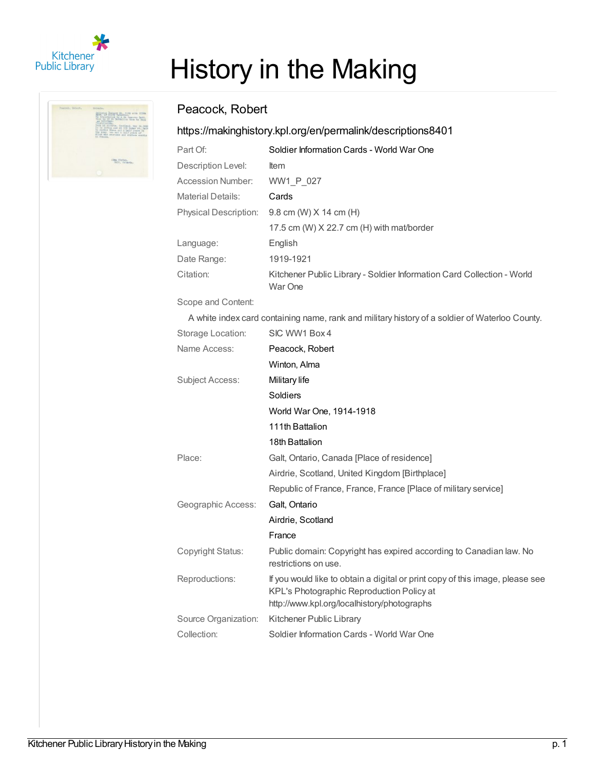

# History in the Making

# Peacock, Robert

## <https://makinghistory.kpl.org/en/permalink/descriptions8401>

| Part Of:                     | Soldier Information Cards - World War One                                         |
|------------------------------|-----------------------------------------------------------------------------------|
| Description Level:           | <b>Item</b>                                                                       |
| Accession Number:            | WW1 P 027                                                                         |
| <b>Material Details:</b>     | Cards                                                                             |
| <b>Physical Description:</b> | 9.8 cm (W) $X$ 14 cm (H)                                                          |
|                              | 17.5 cm (W) $X$ 22.7 cm (H) with mat/border                                       |
| Language:                    | English                                                                           |
| Date Range:                  | 1919-1921                                                                         |
| Citation:                    | Kitchener Public Library - Soldier Information Card Collection - World<br>War One |
|                              |                                                                                   |

Scope and Content:

A white index card containing name, rank and military history of a soldier of Waterloo County.

| Storage Location:    | SIC WW1 Box 4                                                                                                                                                             |
|----------------------|---------------------------------------------------------------------------------------------------------------------------------------------------------------------------|
| Name Access:         | Peacock, Robert                                                                                                                                                           |
|                      | Winton, Alma                                                                                                                                                              |
| Subject Access:      | Military life                                                                                                                                                             |
|                      | Soldiers                                                                                                                                                                  |
|                      | World War One, 1914-1918                                                                                                                                                  |
|                      | 111th Battalion                                                                                                                                                           |
|                      | 18th Battalion                                                                                                                                                            |
| Place:               | Galt, Ontario, Canada [Place of residence]                                                                                                                                |
|                      | Airdrie, Scotland, United Kingdom [Birthplace]                                                                                                                            |
|                      | Republic of France, France, France [Place of military service]                                                                                                            |
| Geographic Access:   | Galt, Ontario                                                                                                                                                             |
|                      | Airdrie, Scotland                                                                                                                                                         |
|                      | France                                                                                                                                                                    |
| Copyright Status:    | Public domain: Copyright has expired according to Canadian law. No<br>restrictions on use.                                                                                |
| Reproductions:       | If you would like to obtain a digital or print copy of this image, please see<br>KPL's Photographic Reproduction Policy at<br>http://www.kpl.org/localhistory/photographs |
| Source Organization: | Kitchener Public Library                                                                                                                                                  |
| Collection:          | Soldier Information Cards - World War One                                                                                                                                 |